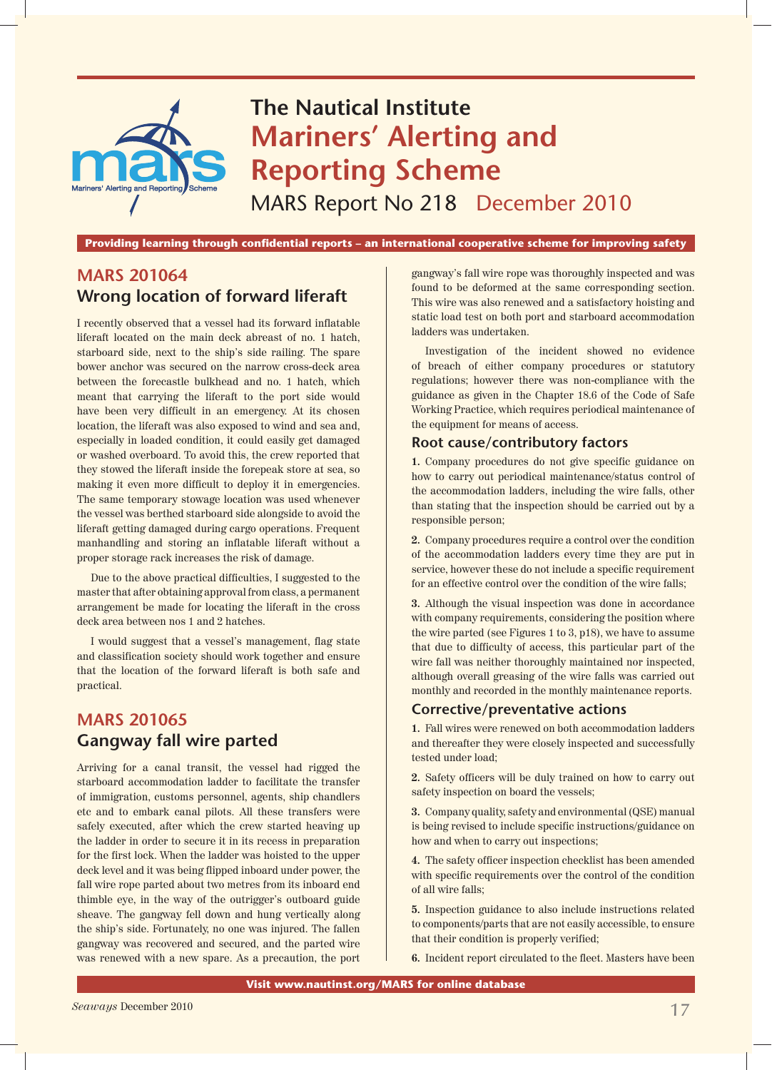

Providing learning through confidential reports – an international cooperative scheme for improving safety

# **MARS 201064 Wrong location of forward liferaft**

I recently observed that a vessel had its forward inflatable liferaft located on the main deck abreast of no. 1 hatch, starboard side, next to the ship's side railing. The spare bower anchor was secured on the narrow cross-deck area between the forecastle bulkhead and no. 1 hatch, which meant that carrying the liferaft to the port side would have been very difficult in an emergency. At its chosen location, the liferaft was also exposed to wind and sea and, especially in loaded condition, it could easily get damaged or washed overboard. To avoid this, the crew reported that they stowed the liferaft inside the forepeak store at sea, so making it even more difficult to deploy it in emergencies. The same temporary stowage location was used whenever the vessel was berthed starboard side alongside to avoid the liferaft getting damaged during cargo operations. Frequent manhandling and storing an inflatable liferaft without a proper storage rack increases the risk of damage.

Due to the above practical difficulties, I suggested to the master that after obtaining approval from class, a permanent arrangement be made for locating the liferaft in the cross deck area between nos 1 and 2 hatches.

I would suggest that a vessel's management, flag state and classification society should work together and ensure that the location of the forward liferaft is both safe and practical.

# **MARS 201065 Gangway fall wire parted**

Arriving for a canal transit, the vessel had rigged the starboard accommodation ladder to facilitate the transfer of immigration, customs personnel, agents, ship chandlers etc and to embark canal pilots. All these transfers were safely executed, after which the crew started heaving up the ladder in order to secure it in its recess in preparation for the first lock. When the ladder was hoisted to the upper deck level and it was being flipped inboard under power, the fall wire rope parted about two metres from its inboard end thimble eye, in the way of the outrigger's outboard guide sheave. The gangway fell down and hung vertically along the ship's side. Fortunately, no one was injured. The fallen gangway was recovered and secured, and the parted wire was renewed with a new spare. As a precaution, the port gangway's fall wire rope was thoroughly inspected and was found to be deformed at the same corresponding section. This wire was also renewed and a satisfactory hoisting and static load test on both port and starboard accommodation ladders was undertaken.

Investigation of the incident showed no evidence of breach of either company procedures or statutory regulations; however there was non-compliance with the guidance as given in the Chapter 18.6 of the Code of Safe Working Practice, which requires periodical maintenance of the equipment for means of access.

## **Root cause/contributory factors**

**1.** Company procedures do not give specific guidance on how to carry out periodical maintenance/status control of the accommodation ladders, including the wire falls, other than stating that the inspection should be carried out by a responsible person;

**2.** Company procedures require a control over the condition of the accommodation ladders every time they are put in service, however these do not include a specific requirement for an effective control over the condition of the wire falls;

**3.** Although the visual inspection was done in accordance with company requirements, considering the position where the wire parted (see Figures 1 to 3, p18), we have to assume that due to difficulty of access, this particular part of the wire fall was neither thoroughly maintained nor inspected, although overall greasing of the wire falls was carried out monthly and recorded in the monthly maintenance reports.

## **Corrective/preventative actions**

**1.** Fall wires were renewed on both accommodation ladders and thereafter they were closely inspected and successfully tested under load;

**2.** Safety officers will be duly trained on how to carry out safety inspection on board the vessels;

**3.** Company quality, safety and environmental (QSE) manual is being revised to include specific instructions/guidance on how and when to carry out inspections;

**4.** The safety officer inspection checklist has been amended with specific requirements over the control of the condition of all wire falls;

**5.** Inspection guidance to also include instructions related to components/parts that are not easily accessible, to ensure that their condition is properly verified;

**6.** Incident report circulated to the fleet. Masters have been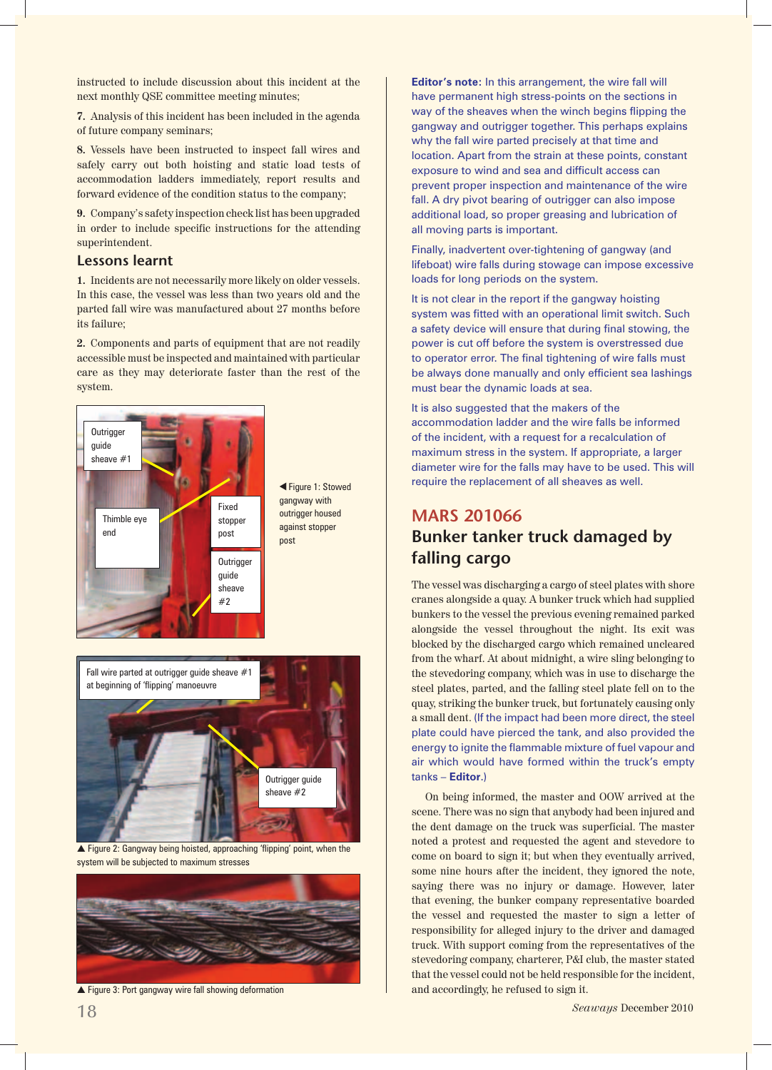instructed to include discussion about this incident at the next monthly QSE committee meeting minutes;

**7.** Analysis of this incident has been included in the agenda of future company seminars;

**8.** Vessels have been instructed to inspect fall wires and safely carry out both hoisting and static load tests of accommodation ladders immediately, report results and forward evidence of the condition status to the company;

**9.** Company's safety inspection check list has been upgraded in order to include specific instructions for the attending superintendent.

## **Lessons learnt**

**1.** Incidents are not necessarily more likely on older vessels. In this case, the vessel was less than two years old and the parted fall wire was manufactured about 27 months before its failure;

**2.** Components and parts of equipment that are not readily accessible must be inspected and maintained with particular care as they may deteriorate faster than the rest of the system.



 Figure 1: Stowed ▲gangway with outrigger housed against stopper post



▲ Figure 2: Gangway being hoisted, approaching 'flipping' point, when the system will be subjected to maximum stresses



▲ Figure 3: Port gangway wire fall showing deformation

**Editor's note:** In this arrangement, the wire fall will have permanent high stress-points on the sections in way of the sheaves when the winch begins flipping the gangway and outrigger together. This perhaps explains why the fall wire parted precisely at that time and location. Apart from the strain at these points, constant exposure to wind and sea and difficult access can prevent proper inspection and maintenance of the wire fall. A dry pivot bearing of outrigger can also impose additional load, so proper greasing and lubrication of all moving parts is important.

Finally, inadvertent over-tightening of gangway (and lifeboat) wire falls during stowage can impose excessive loads for long periods on the system.

It is not clear in the report if the gangway hoisting system was fitted with an operational limit switch. Such a safety device will ensure that during final stowing, the power is cut off before the system is overstressed due to operator error. The final tightening of wire falls must be always done manually and only efficient sea lashings must bear the dynamic loads at sea.

It is also suggested that the makers of the accommodation ladder and the wire falls be informed of the incident, with a request for a recalculation of maximum stress in the system. If appropriate, a larger diameter wire for the falls may have to be used. This will require the replacement of all sheaves as well.

# **MARS 201066 Bunker tanker truck damaged by falling cargo**

The vessel was discharging a cargo of steel plates with shore cranes alongside a quay. A bunker truck which had supplied bunkers to the vessel the previous evening remained parked alongside the vessel throughout the night. Its exit was blocked by the discharged cargo which remained uncleared from the wharf. At about midnight, a wire sling belonging to the stevedoring company, which was in use to discharge the steel plates, parted, and the falling steel plate fell on to the quay, striking the bunker truck, but fortunately causing only a small dent. (If the impact had been more direct, the steel plate could have pierced the tank, and also provided the energy to ignite the flammable mixture of fuel vapour and air which would have formed within the truck's empty tanks – **Editor**.)

On being informed, the master and OOW arrived at the scene. There was no sign that anybody had been injured and the dent damage on the truck was superficial. The master noted a protest and requested the agent and stevedore to come on board to sign it; but when they eventually arrived, some nine hours after the incident, they ignored the note, saying there was no injury or damage. However, later that evening, the bunker company representative boarded the vessel and requested the master to sign a letter of responsibility for alleged injury to the driver and damaged truck. With support coming from the representatives of the stevedoring company, charterer, P&I club, the master stated that the vessel could not be held responsible for the incident, and accordingly, he refused to sign it.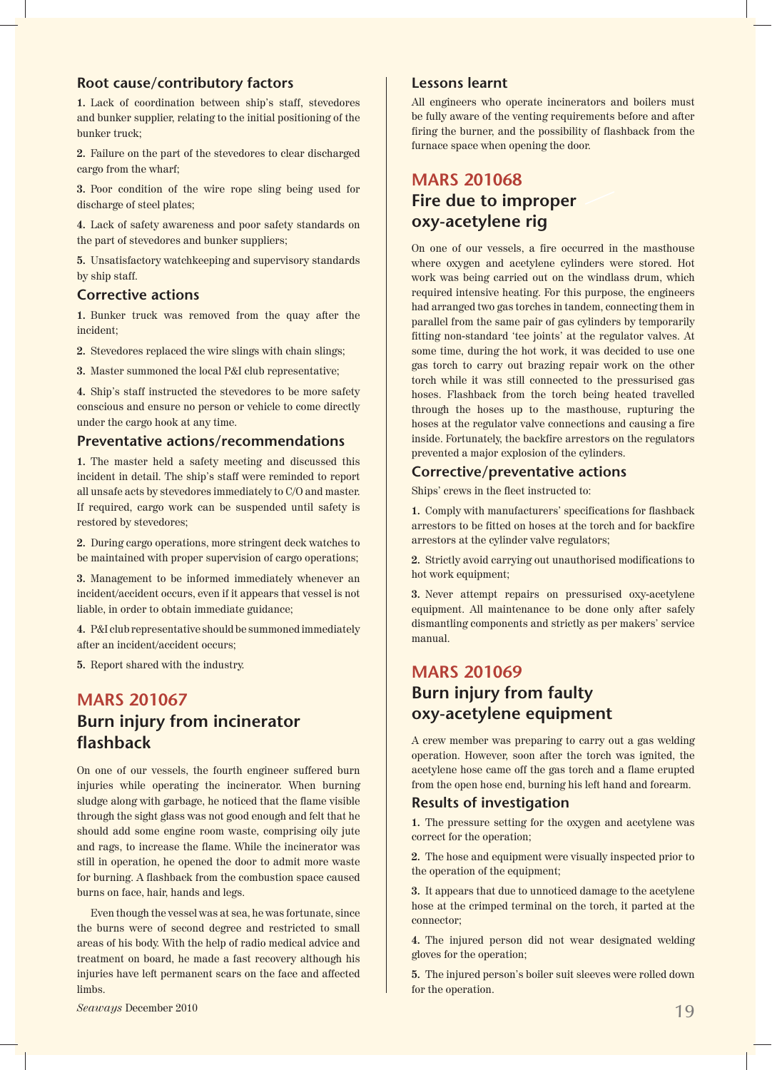## **Root cause/contributory factors**

**1.** Lack of coordination between ship's staff, stevedores and bunker supplier, relating to the initial positioning of the bunker truck;

**2.** Failure on the part of the stevedores to clear discharged cargo from the wharf;

**3.** Poor condition of the wire rope sling being used for discharge of steel plates;

**4.** Lack of safety awareness and poor safety standards on the part of stevedores and bunker suppliers;

**5.** Unsatisfactory watchkeeping and supervisory standards by ship staff.

## **Corrective actions**

**1.** Bunker truck was removed from the quay after the incident;

**2.** Stevedores replaced the wire slings with chain slings;

**3.** Master summoned the local P&I club representative;

**4.** Ship's staff instructed the stevedores to be more safety conscious and ensure no person or vehicle to come directly under the cargo hook at any time.

## **Preventative actions/recommendations**

**1.** The master held a safety meeting and discussed this incident in detail. The ship's staff were reminded to report all unsafe acts by stevedores immediately to C/O and master. If required, cargo work can be suspended until safety is restored by stevedores;

**2.** During cargo operations, more stringent deck watches to be maintained with proper supervision of cargo operations;

**3.** Management to be informed immediately whenever an incident/accident occurs, even if it appears that vessel is not liable, in order to obtain immediate guidance;

**4.** P&I club representative should be summoned immediately after an incident/accident occurs;

**5.** Report shared with the industry.

# **MARS 201067 Burn injury from incinerator flashback**

On one of our vessels, the fourth engineer suffered burn injuries while operating the incinerator. When burning sludge along with garbage, he noticed that the flame visible through the sight glass was not good enough and felt that he should add some engine room waste, comprising oily jute and rags, to increase the flame. While the incinerator was still in operation, he opened the door to admit more waste for burning. A flashback from the combustion space caused burns on face, hair, hands and legs.

Even though the vessel was at sea, he was fortunate, since the burns were of second degree and restricted to small areas of his body. With the help of radio medical advice and treatment on board, he made a fast recovery although his injuries have left permanent scars on the face and affected limbs.

#### **Lessons learnt**

All engineers who operate incinerators and boilers must be fully aware of the venting requirements before and after firing the burner, and the possibility of flashback from the furnace space when opening the door.

# **MARS 201068 Fire due to improper oxy-acetylene rig**

On one of our vessels, a fire occurred in the masthouse where oxygen and acetylene cylinders were stored. Hot work was being carried out on the windlass drum, which required intensive heating. For this purpose, the engineers had arranged two gas torches in tandem, connecting them in parallel from the same pair of gas cylinders by temporarily fitting non-standard 'tee joints' at the regulator valves. At some time, during the hot work, it was decided to use one gas torch to carry out brazing repair work on the other torch while it was still connected to the pressurised gas hoses. Flashback from the torch being heated travelled through the hoses up to the masthouse, rupturing the hoses at the regulator valve connections and causing a fire inside. Fortunately, the backfire arrestors on the regulators prevented a major explosion of the cylinders.

## **Corrective/preventative actions**

Ships' crews in the fleet instructed to:

**1.** Comply with manufacturers' specifications for flashback arrestors to be fitted on hoses at the torch and for backfire arrestors at the cylinder valve regulators;

**2.** Strictly avoid carrying out unauthorised modifications to hot work equipment;

**3.** Never attempt repairs on pressurised oxy-acetylene equipment. All maintenance to be done only after safely dismantling components and strictly as per makers' service manual.

# **MARS 201069 Burn injury from faulty oxy-acetylene equipment**

A crew member was preparing to carry out a gas welding operation. However, soon after the torch was ignited, the acetylene hose came off the gas torch and a flame erupted from the open hose end, burning his left hand and forearm.

## **Results of investigation**

**1.** The pressure setting for the oxygen and acetylene was correct for the operation;

**2.** The hose and equipment were visually inspected prior to the operation of the equipment;

**3.** It appears that due to unnoticed damage to the acetylene hose at the crimped terminal on the torch, it parted at the connector;

**4.** The injured person did not wear designated welding gloves for the operation;

**5.** The injured person's boiler suit sleeves were rolled down for the operation.